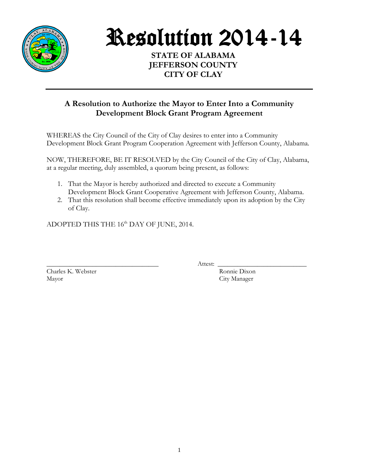

Resolution 2014-14

**STATE OF ALABAMA JEFFERSON COUNTY CITY OF CLAY**

## **A Resolution to Authorize the Mayor to Enter Into a Community Development Block Grant Program Agreement**

WHEREAS the City Council of the City of Clay desires to enter into a Community Development Block Grant Program Cooperation Agreement with Jefferson County, Alabama.

NOW, THEREFORE, BE IT RESOLVED by the City Council of the City of Clay, Alabama, at a regular meeting, duly assembled, a quorum being present, as follows:

- 1. That the Mayor is hereby authorized and directed to execute a Community Development Block Grant Cooperative Agreement with Jefferson County, Alabama.
- 2. That this resolution shall become effective immediately upon its adoption by the City of Clay.

ADOPTED THIS THE 16<sup>th</sup> DAY OF JUNE, 2014.

Charles K. Webster Ronnie Dixon Mayor City Manager

\_\_\_\_\_\_\_\_\_\_\_\_\_\_\_\_\_\_\_\_\_\_\_\_\_\_\_\_\_\_\_\_\_\_ Attest: \_\_\_\_\_\_\_\_\_\_\_\_\_\_\_\_\_\_\_\_\_\_\_\_\_\_\_